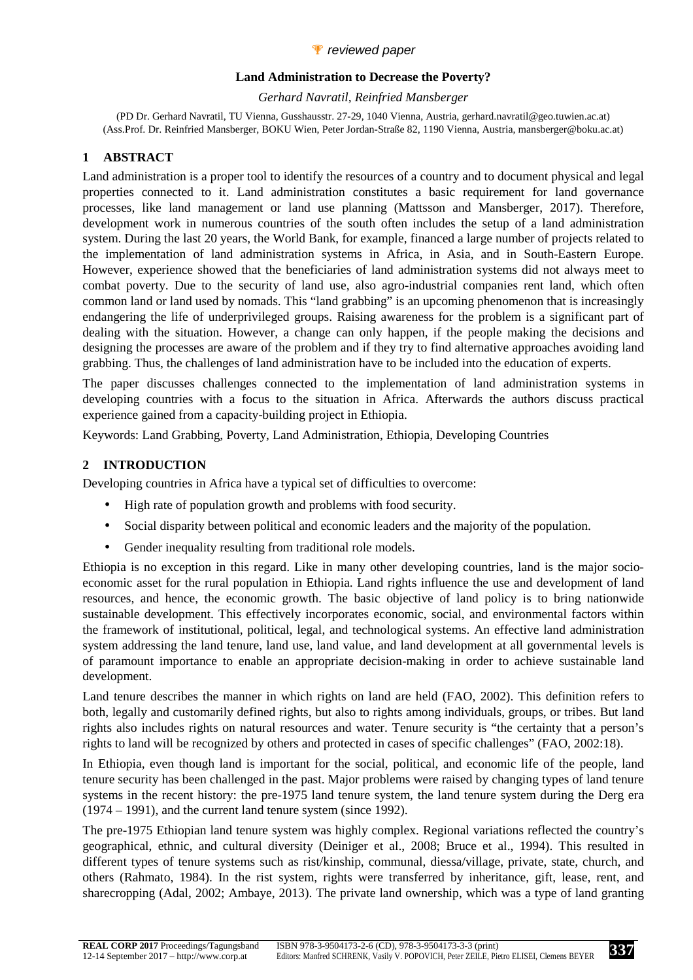### *P* reviewed paper

#### **Land Administration to Decrease the Poverty?**

*Gerhard Navratil, Reinfried Mansberger* 

(PD Dr. Gerhard Navratil, TU Vienna, Gusshausstr. 27-29, 1040 Vienna, Austria, gerhard.navratil@geo.tuwien.ac.at) (Ass.Prof. Dr. Reinfried Mansberger, BOKU Wien, Peter Jordan-Straße 82, 1190 Vienna, Austria, mansberger@boku.ac.at)

### **1 ABSTRACT**

Land administration is a proper tool to identify the resources of a country and to document physical and legal properties connected to it. Land administration constitutes a basic requirement for land governance processes, like land management or land use planning (Mattsson and Mansberger, 2017). Therefore, development work in numerous countries of the south often includes the setup of a land administration system. During the last 20 years, the World Bank, for example, financed a large number of projects related to the implementation of land administration systems in Africa, in Asia, and in South-Eastern Europe. However, experience showed that the beneficiaries of land administration systems did not always meet to combat poverty. Due to the security of land use, also agro-industrial companies rent land, which often common land or land used by nomads. This "land grabbing" is an upcoming phenomenon that is increasingly endangering the life of underprivileged groups. Raising awareness for the problem is a significant part of dealing with the situation. However, a change can only happen, if the people making the decisions and designing the processes are aware of the problem and if they try to find alternative approaches avoiding land grabbing. Thus, the challenges of land administration have to be included into the education of experts.

The paper discusses challenges connected to the implementation of land administration systems in developing countries with a focus to the situation in Africa. Afterwards the authors discuss practical experience gained from a capacity-building project in Ethiopia.

Keywords: Land Grabbing, Poverty, Land Administration, Ethiopia, Developing Countries

## **2 INTRODUCTION**

Developing countries in Africa have a typical set of difficulties to overcome:

- High rate of population growth and problems with food security.
- Social disparity between political and economic leaders and the majority of the population.
- Gender inequality resulting from traditional role models.

Ethiopia is no exception in this regard. Like in many other developing countries, land is the major socioeconomic asset for the rural population in Ethiopia. Land rights influence the use and development of land resources, and hence, the economic growth. The basic objective of land policy is to bring nationwide sustainable development. This effectively incorporates economic, social, and environmental factors within the framework of institutional, political, legal, and technological systems. An effective land administration system addressing the land tenure, land use, land value, and land development at all governmental levels is of paramount importance to enable an appropriate decision-making in order to achieve sustainable land development.

Land tenure describes the manner in which rights on land are held (FAO, 2002). This definition refers to both, legally and customarily defined rights, but also to rights among individuals, groups, or tribes. But land rights also includes rights on natural resources and water. Tenure security is "the certainty that a person's rights to land will be recognized by others and protected in cases of specific challenges" (FAO, 2002:18).

In Ethiopia, even though land is important for the social, political, and economic life of the people, land tenure security has been challenged in the past. Major problems were raised by changing types of land tenure systems in the recent history: the pre-1975 land tenure system, the land tenure system during the Derg era (1974 – 1991), and the current land tenure system (since 1992).

The pre-1975 Ethiopian land tenure system was highly complex. Regional variations reflected the country's geographical, ethnic, and cultural diversity (Deiniger et al., 2008; Bruce et al., 1994). This resulted in different types of tenure systems such as rist/kinship, communal, diessa/village, private, state, church, and others (Rahmato, 1984). In the rist system, rights were transferred by inheritance, gift, lease, rent, and sharecropping (Adal, 2002; Ambaye, 2013). The private land ownership, which was a type of land granting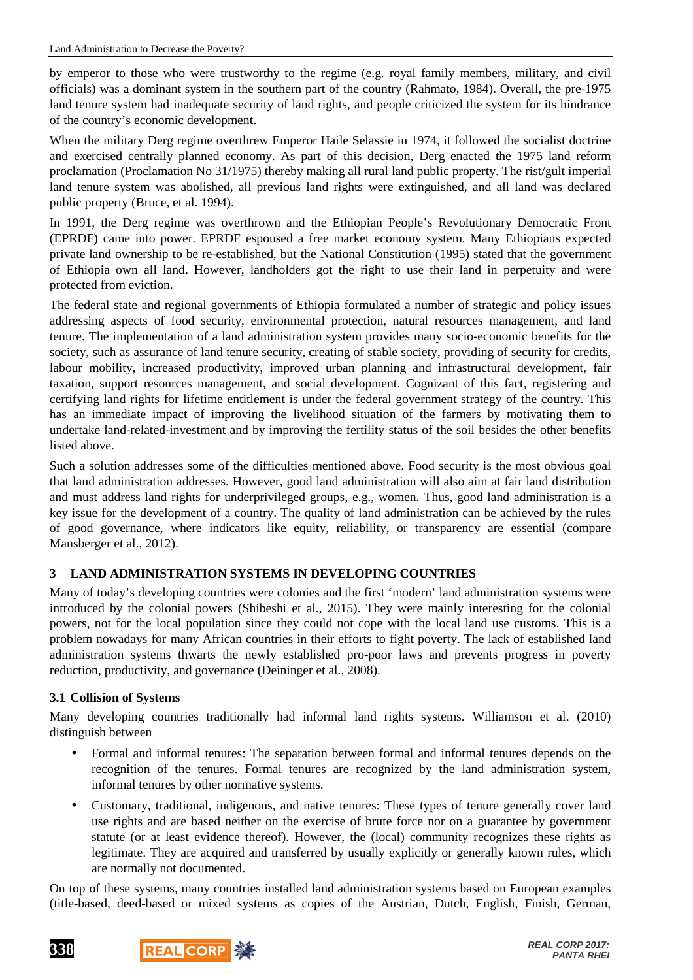by emperor to those who were trustworthy to the regime (e.g. royal family members, military, and civil officials) was a dominant system in the southern part of the country (Rahmato, 1984). Overall, the pre-1975 land tenure system had inadequate security of land rights, and people criticized the system for its hindrance of the country's economic development.

When the military Derg regime overthrew Emperor Haile Selassie in 1974, it followed the socialist doctrine and exercised centrally planned economy. As part of this decision, Derg enacted the 1975 land reform proclamation (Proclamation No 31/1975) thereby making all rural land public property. The rist/gult imperial land tenure system was abolished, all previous land rights were extinguished, and all land was declared public property (Bruce, et al. 1994).

In 1991, the Derg regime was overthrown and the Ethiopian People's Revolutionary Democratic Front (EPRDF) came into power. EPRDF espoused a free market economy system. Many Ethiopians expected private land ownership to be re-established, but the National Constitution (1995) stated that the government of Ethiopia own all land. However, landholders got the right to use their land in perpetuity and were protected from eviction.

The federal state and regional governments of Ethiopia formulated a number of strategic and policy issues addressing aspects of food security, environmental protection, natural resources management, and land tenure. The implementation of a land administration system provides many socio-economic benefits for the society, such as assurance of land tenure security, creating of stable society, providing of security for credits, labour mobility, increased productivity, improved urban planning and infrastructural development, fair taxation, support resources management, and social development. Cognizant of this fact, registering and certifying land rights for lifetime entitlement is under the federal government strategy of the country. This has an immediate impact of improving the livelihood situation of the farmers by motivating them to undertake land-related-investment and by improving the fertility status of the soil besides the other benefits listed above.

Such a solution addresses some of the difficulties mentioned above. Food security is the most obvious goal that land administration addresses. However, good land administration will also aim at fair land distribution and must address land rights for underprivileged groups, e.g., women. Thus, good land administration is a key issue for the development of a country. The quality of land administration can be achieved by the rules of good governance, where indicators like equity, reliability, or transparency are essential (compare Mansberger et al., 2012).

# **3 LAND ADMINISTRATION SYSTEMS IN DEVELOPING COUNTRIES**

Many of today's developing countries were colonies and the first 'modern' land administration systems were introduced by the colonial powers (Shibeshi et al., 2015). They were mainly interesting for the colonial powers, not for the local population since they could not cope with the local land use customs. This is a problem nowadays for many African countries in their efforts to fight poverty. The lack of established land administration systems thwarts the newly established pro-poor laws and prevents progress in poverty reduction, productivity, and governance (Deininger et al., 2008).

### **3.1 Collision of Systems**

Many developing countries traditionally had informal land rights systems. Williamson et al. (2010) distinguish between

- Formal and informal tenures: The separation between formal and informal tenures depends on the recognition of the tenures. Formal tenures are recognized by the land administration system, informal tenures by other normative systems.
- Customary, traditional, indigenous, and native tenures: These types of tenure generally cover land use rights and are based neither on the exercise of brute force nor on a guarantee by government statute (or at least evidence thereof). However, the (local) community recognizes these rights as legitimate. They are acquired and transferred by usually explicitly or generally known rules, which are normally not documented.

On top of these systems, many countries installed land administration systems based on European examples (title-based, deed-based or mixed systems as copies of the Austrian, Dutch, English, Finish, German,

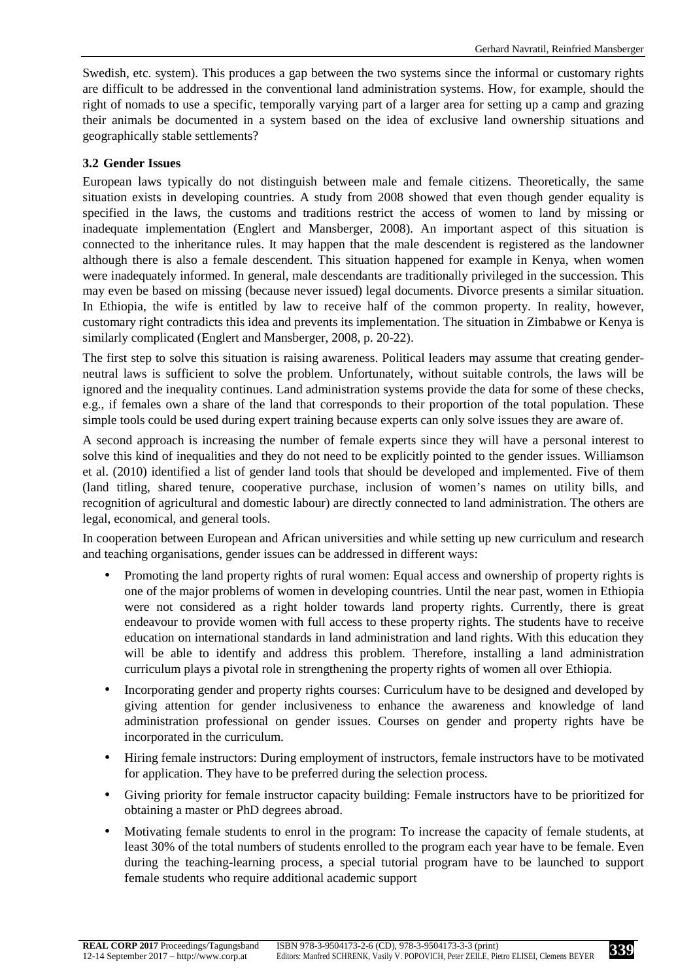Swedish, etc. system). This produces a gap between the two systems since the informal or customary rights are difficult to be addressed in the conventional land administration systems. How, for example, should the right of nomads to use a specific, temporally varying part of a larger area for setting up a camp and grazing their animals be documented in a system based on the idea of exclusive land ownership situations and geographically stable settlements?

### **3.2 Gender Issues**

European laws typically do not distinguish between male and female citizens. Theoretically, the same situation exists in developing countries. A study from 2008 showed that even though gender equality is specified in the laws, the customs and traditions restrict the access of women to land by missing or inadequate implementation (Englert and Mansberger, 2008). An important aspect of this situation is connected to the inheritance rules. It may happen that the male descendent is registered as the landowner although there is also a female descendent. This situation happened for example in Kenya, when women were inadequately informed. In general, male descendants are traditionally privileged in the succession. This may even be based on missing (because never issued) legal documents. Divorce presents a similar situation. In Ethiopia, the wife is entitled by law to receive half of the common property. In reality, however, customary right contradicts this idea and prevents its implementation. The situation in Zimbabwe or Kenya is similarly complicated (Englert and Mansberger, 2008, p. 20-22).

The first step to solve this situation is raising awareness. Political leaders may assume that creating genderneutral laws is sufficient to solve the problem. Unfortunately, without suitable controls, the laws will be ignored and the inequality continues. Land administration systems provide the data for some of these checks, e.g., if females own a share of the land that corresponds to their proportion of the total population. These simple tools could be used during expert training because experts can only solve issues they are aware of.

A second approach is increasing the number of female experts since they will have a personal interest to solve this kind of inequalities and they do not need to be explicitly pointed to the gender issues. Williamson et al. (2010) identified a list of gender land tools that should be developed and implemented. Five of them (land titling, shared tenure, cooperative purchase, inclusion of women's names on utility bills, and recognition of agricultural and domestic labour) are directly connected to land administration. The others are legal, economical, and general tools.

In cooperation between European and African universities and while setting up new curriculum and research and teaching organisations, gender issues can be addressed in different ways:

- Promoting the land property rights of rural women: Equal access and ownership of property rights is one of the major problems of women in developing countries. Until the near past, women in Ethiopia were not considered as a right holder towards land property rights. Currently, there is great endeavour to provide women with full access to these property rights. The students have to receive education on international standards in land administration and land rights. With this education they will be able to identify and address this problem. Therefore, installing a land administration curriculum plays a pivotal role in strengthening the property rights of women all over Ethiopia.
- Incorporating gender and property rights courses: Curriculum have to be designed and developed by giving attention for gender inclusiveness to enhance the awareness and knowledge of land administration professional on gender issues. Courses on gender and property rights have be incorporated in the curriculum.
- Hiring female instructors: During employment of instructors, female instructors have to be motivated for application. They have to be preferred during the selection process.
- Giving priority for female instructor capacity building: Female instructors have to be prioritized for obtaining a master or PhD degrees abroad.
- Motivating female students to enrol in the program: To increase the capacity of female students, at least 30% of the total numbers of students enrolled to the program each year have to be female. Even during the teaching-learning process, a special tutorial program have to be launched to support female students who require additional academic support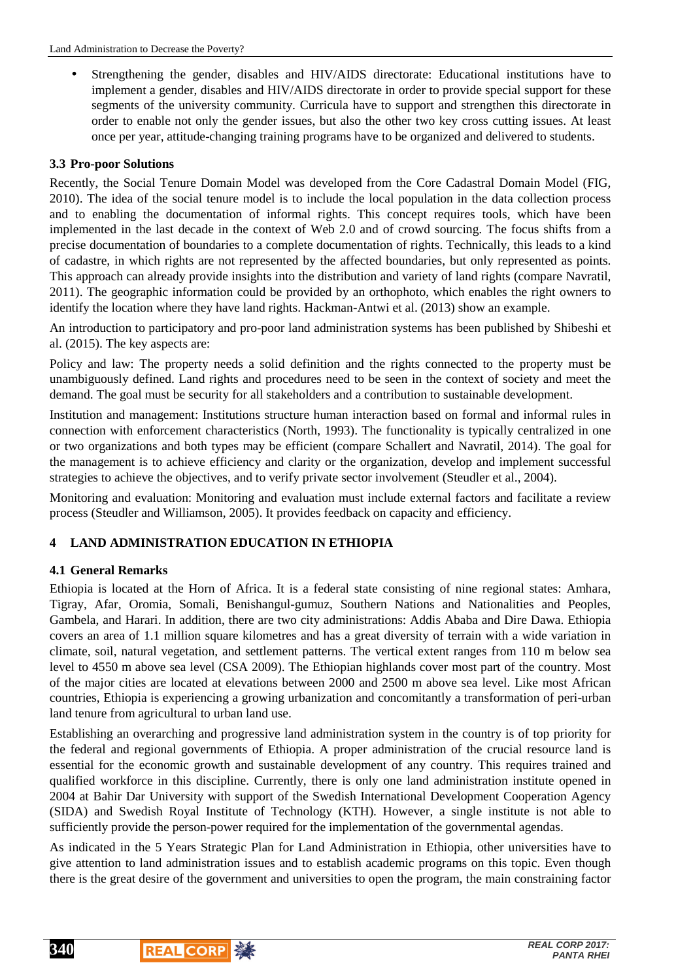• Strengthening the gender, disables and HIV/AIDS directorate: Educational institutions have to implement a gender, disables and HIV/AIDS directorate in order to provide special support for these segments of the university community. Curricula have to support and strengthen this directorate in order to enable not only the gender issues, but also the other two key cross cutting issues. At least once per year, attitude-changing training programs have to be organized and delivered to students.

### **3.3 Pro-poor Solutions**

Recently, the Social Tenure Domain Model was developed from the Core Cadastral Domain Model (FIG, 2010). The idea of the social tenure model is to include the local population in the data collection process and to enabling the documentation of informal rights. This concept requires tools, which have been implemented in the last decade in the context of Web 2.0 and of crowd sourcing. The focus shifts from a precise documentation of boundaries to a complete documentation of rights. Technically, this leads to a kind of cadastre, in which rights are not represented by the affected boundaries, but only represented as points. This approach can already provide insights into the distribution and variety of land rights (compare Navratil, 2011). The geographic information could be provided by an orthophoto, which enables the right owners to identify the location where they have land rights. Hackman-Antwi et al. (2013) show an example.

An introduction to participatory and pro-poor land administration systems has been published by Shibeshi et al. (2015). The key aspects are:

Policy and law: The property needs a solid definition and the rights connected to the property must be unambiguously defined. Land rights and procedures need to be seen in the context of society and meet the demand. The goal must be security for all stakeholders and a contribution to sustainable development.

Institution and management: Institutions structure human interaction based on formal and informal rules in connection with enforcement characteristics (North, 1993). The functionality is typically centralized in one or two organizations and both types may be efficient (compare Schallert and Navratil, 2014). The goal for the management is to achieve efficiency and clarity or the organization, develop and implement successful strategies to achieve the objectives, and to verify private sector involvement (Steudler et al., 2004).

Monitoring and evaluation: Monitoring and evaluation must include external factors and facilitate a review process (Steudler and Williamson, 2005). It provides feedback on capacity and efficiency.

## **4 LAND ADMINISTRATION EDUCATION IN ETHIOPIA**

### **4.1 General Remarks**

Ethiopia is located at the Horn of Africa. It is a federal state consisting of nine regional states: Amhara, Tigray, Afar, Oromia, Somali, Benishangul-gumuz, Southern Nations and Nationalities and Peoples, Gambela, and Harari. In addition, there are two city administrations: Addis Ababa and Dire Dawa. Ethiopia covers an area of 1.1 million square kilometres and has a great diversity of terrain with a wide variation in climate, soil, natural vegetation, and settlement patterns. The vertical extent ranges from 110 m below sea level to 4550 m above sea level (CSA 2009). The Ethiopian highlands cover most part of the country. Most of the major cities are located at elevations between 2000 and 2500 m above sea level. Like most African countries, Ethiopia is experiencing a growing urbanization and concomitantly a transformation of peri-urban land tenure from agricultural to urban land use.

Establishing an overarching and progressive land administration system in the country is of top priority for the federal and regional governments of Ethiopia. A proper administration of the crucial resource land is essential for the economic growth and sustainable development of any country. This requires trained and qualified workforce in this discipline. Currently, there is only one land administration institute opened in 2004 at Bahir Dar University with support of the Swedish International Development Cooperation Agency (SIDA) and Swedish Royal Institute of Technology (KTH). However, a single institute is not able to sufficiently provide the person-power required for the implementation of the governmental agendas.

As indicated in the 5 Years Strategic Plan for Land Administration in Ethiopia, other universities have to give attention to land administration issues and to establish academic programs on this topic. Even though there is the great desire of the government and universities to open the program, the main constraining factor

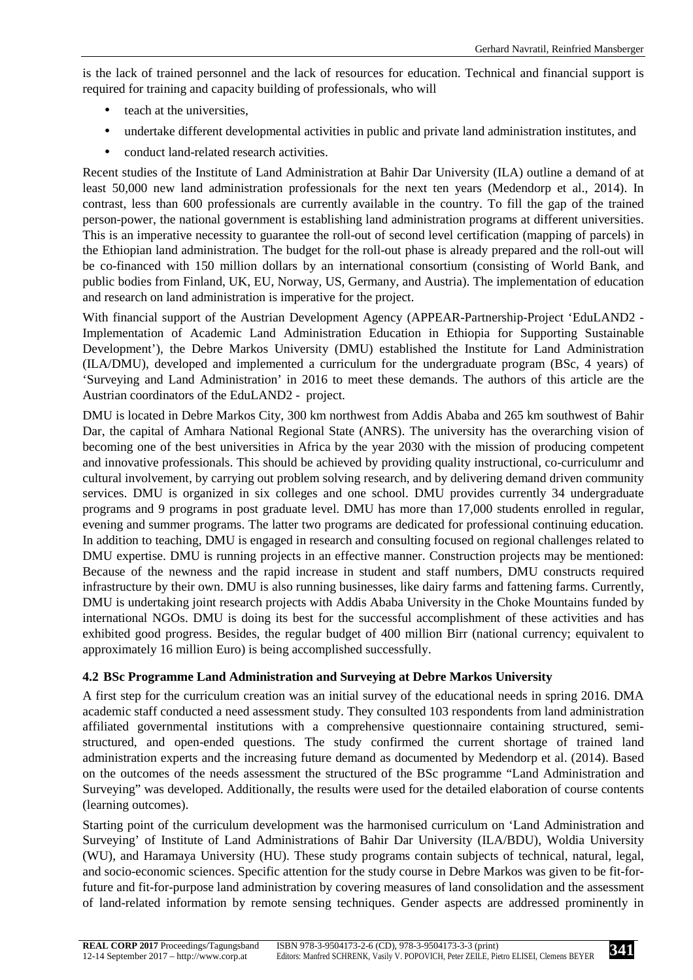is the lack of trained personnel and the lack of resources for education. Technical and financial support is required for training and capacity building of professionals, who will

- teach at the universities,
- undertake different developmental activities in public and private land administration institutes, and
- conduct land-related research activities.

Recent studies of the Institute of Land Administration at Bahir Dar University (ILA) outline a demand of at least 50,000 new land administration professionals for the next ten years (Medendorp et al., 2014). In contrast, less than 600 professionals are currently available in the country. To fill the gap of the trained person-power, the national government is establishing land administration programs at different universities. This is an imperative necessity to guarantee the roll-out of second level certification (mapping of parcels) in the Ethiopian land administration. The budget for the roll-out phase is already prepared and the roll-out will be co-financed with 150 million dollars by an international consortium (consisting of World Bank, and public bodies from Finland, UK, EU, Norway, US, Germany, and Austria). The implementation of education and research on land administration is imperative for the project.

With financial support of the Austrian Development Agency (APPEAR-Partnership-Project 'EduLAND2 - Implementation of Academic Land Administration Education in Ethiopia for Supporting Sustainable Development'), the Debre Markos University (DMU) established the Institute for Land Administration (ILA/DMU), developed and implemented a curriculum for the undergraduate program (BSc, 4 years) of 'Surveying and Land Administration' in 2016 to meet these demands. The authors of this article are the Austrian coordinators of the EduLAND2 - project.

DMU is located in Debre Markos City, 300 km northwest from Addis Ababa and 265 km southwest of Bahir Dar, the capital of Amhara National Regional State (ANRS). The university has the overarching vision of becoming one of the best universities in Africa by the year 2030 with the mission of producing competent and innovative professionals. This should be achieved by providing quality instructional, co-curriculumr and cultural involvement, by carrying out problem solving research, and by delivering demand driven community services. DMU is organized in six colleges and one school. DMU provides currently 34 undergraduate programs and 9 programs in post graduate level. DMU has more than 17,000 students enrolled in regular, evening and summer programs. The latter two programs are dedicated for professional continuing education. In addition to teaching, DMU is engaged in research and consulting focused on regional challenges related to DMU expertise. DMU is running projects in an effective manner. Construction projects may be mentioned: Because of the newness and the rapid increase in student and staff numbers, DMU constructs required infrastructure by their own. DMU is also running businesses, like dairy farms and fattening farms. Currently, DMU is undertaking joint research projects with Addis Ababa University in the Choke Mountains funded by international NGOs. DMU is doing its best for the successful accomplishment of these activities and has exhibited good progress. Besides, the regular budget of 400 million Birr (national currency; equivalent to approximately 16 million Euro) is being accomplished successfully.

### **4.2 BSc Programme Land Administration and Surveying at Debre Markos University**

A first step for the curriculum creation was an initial survey of the educational needs in spring 2016. DMA academic staff conducted a need assessment study. They consulted 103 respondents from land administration affiliated governmental institutions with a comprehensive questionnaire containing structured, semistructured, and open-ended questions. The study confirmed the current shortage of trained land administration experts and the increasing future demand as documented by Medendorp et al. (2014). Based on the outcomes of the needs assessment the structured of the BSc programme "Land Administration and Surveying" was developed. Additionally, the results were used for the detailed elaboration of course contents (learning outcomes).

Starting point of the curriculum development was the harmonised curriculum on 'Land Administration and Surveying' of Institute of Land Administrations of Bahir Dar University (ILA/BDU), Woldia University (WU), and Haramaya University (HU). These study programs contain subjects of technical, natural, legal, and socio-economic sciences. Specific attention for the study course in Debre Markos was given to be fit-forfuture and fit-for-purpose land administration by covering measures of land consolidation and the assessment of land-related information by remote sensing techniques. Gender aspects are addressed prominently in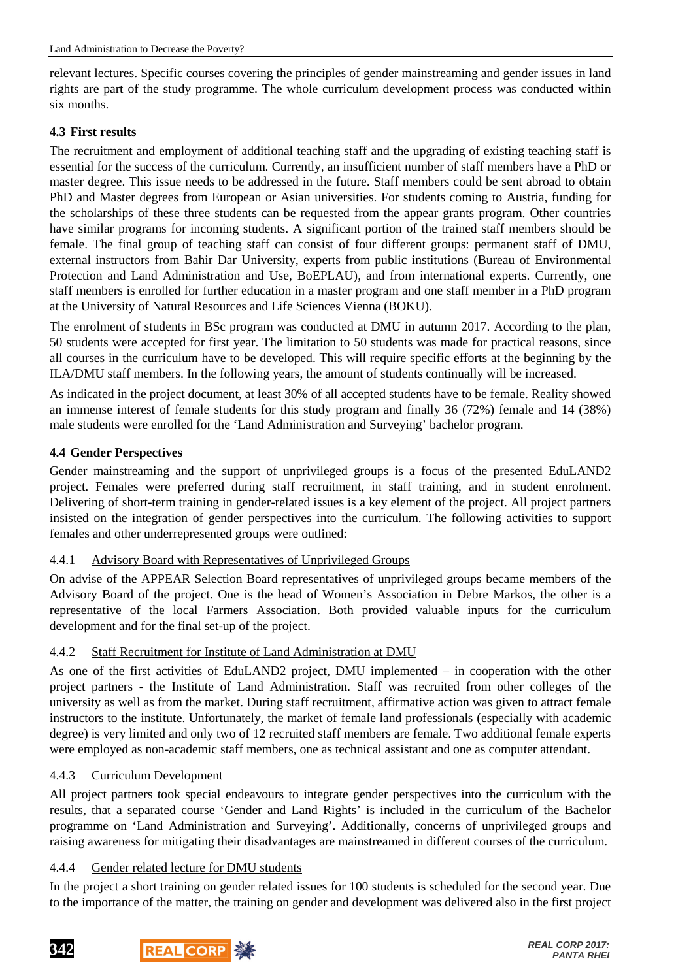relevant lectures. Specific courses covering the principles of gender mainstreaming and gender issues in land rights are part of the study programme. The whole curriculum development process was conducted within six months.

### **4.3 First results**

The recruitment and employment of additional teaching staff and the upgrading of existing teaching staff is essential for the success of the curriculum. Currently, an insufficient number of staff members have a PhD or master degree. This issue needs to be addressed in the future. Staff members could be sent abroad to obtain PhD and Master degrees from European or Asian universities. For students coming to Austria, funding for the scholarships of these three students can be requested from the appear grants program. Other countries have similar programs for incoming students. A significant portion of the trained staff members should be female. The final group of teaching staff can consist of four different groups: permanent staff of DMU, external instructors from Bahir Dar University, experts from public institutions (Bureau of Environmental Protection and Land Administration and Use, BoEPLAU), and from international experts. Currently, one staff members is enrolled for further education in a master program and one staff member in a PhD program at the University of Natural Resources and Life Sciences Vienna (BOKU).

The enrolment of students in BSc program was conducted at DMU in autumn 2017. According to the plan, 50 students were accepted for first year. The limitation to 50 students was made for practical reasons, since all courses in the curriculum have to be developed. This will require specific efforts at the beginning by the ILA/DMU staff members. In the following years, the amount of students continually will be increased.

As indicated in the project document, at least 30% of all accepted students have to be female. Reality showed an immense interest of female students for this study program and finally 36 (72%) female and 14 (38%) male students were enrolled for the 'Land Administration and Surveying' bachelor program.

## **4.4 Gender Perspectives**

Gender mainstreaming and the support of unprivileged groups is a focus of the presented EduLAND2 project. Females were preferred during staff recruitment, in staff training, and in student enrolment. Delivering of short-term training in gender-related issues is a key element of the project. All project partners insisted on the integration of gender perspectives into the curriculum. The following activities to support females and other underrepresented groups were outlined:

### 4.4.1 Advisory Board with Representatives of Unprivileged Groups

On advise of the APPEAR Selection Board representatives of unprivileged groups became members of the Advisory Board of the project. One is the head of Women's Association in Debre Markos, the other is a representative of the local Farmers Association. Both provided valuable inputs for the curriculum development and for the final set-up of the project.

### 4.4.2 Staff Recruitment for Institute of Land Administration at DMU

As one of the first activities of EduLAND2 project, DMU implemented – in cooperation with the other project partners - the Institute of Land Administration. Staff was recruited from other colleges of the university as well as from the market. During staff recruitment, affirmative action was given to attract female instructors to the institute. Unfortunately, the market of female land professionals (especially with academic degree) is very limited and only two of 12 recruited staff members are female. Two additional female experts were employed as non-academic staff members, one as technical assistant and one as computer attendant.

### 4.4.3 Curriculum Development

All project partners took special endeavours to integrate gender perspectives into the curriculum with the results, that a separated course 'Gender and Land Rights' is included in the curriculum of the Bachelor programme on 'Land Administration and Surveying'. Additionally, concerns of unprivileged groups and raising awareness for mitigating their disadvantages are mainstreamed in different courses of the curriculum.

### 4.4.4 Gender related lecture for DMU students

In the project a short training on gender related issues for 100 students is scheduled for the second year. Due to the importance of the matter, the training on gender and development was delivered also in the first project

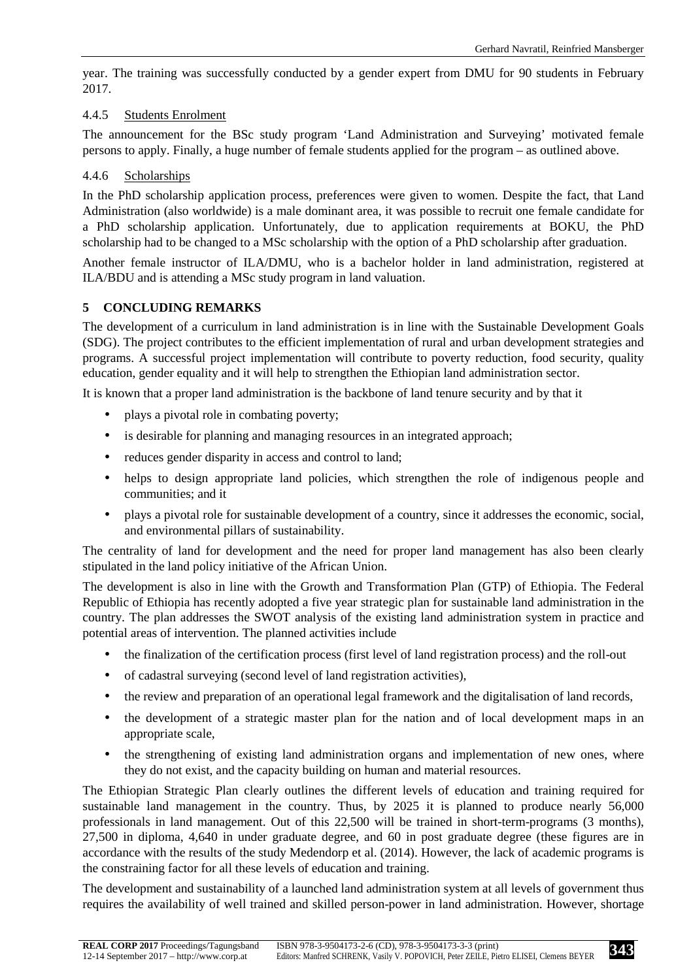year. The training was successfully conducted by a gender expert from DMU for 90 students in February 2017.

### 4.4.5 Students Enrolment

The announcement for the BSc study program 'Land Administration and Surveying' motivated female persons to apply. Finally, a huge number of female students applied for the program – as outlined above.

### 4.4.6 Scholarships

In the PhD scholarship application process, preferences were given to women. Despite the fact, that Land Administration (also worldwide) is a male dominant area, it was possible to recruit one female candidate for a PhD scholarship application. Unfortunately, due to application requirements at BOKU, the PhD scholarship had to be changed to a MSc scholarship with the option of a PhD scholarship after graduation.

Another female instructor of ILA/DMU, who is a bachelor holder in land administration, registered at ILA/BDU and is attending a MSc study program in land valuation.

### **5 CONCLUDING REMARKS**

The development of a curriculum in land administration is in line with the Sustainable Development Goals (SDG). The project contributes to the efficient implementation of rural and urban development strategies and programs. A successful project implementation will contribute to poverty reduction, food security, quality education, gender equality and it will help to strengthen the Ethiopian land administration sector.

It is known that a proper land administration is the backbone of land tenure security and by that it

- plays a pivotal role in combating poverty;
- is desirable for planning and managing resources in an integrated approach;
- reduces gender disparity in access and control to land;
- helps to design appropriate land policies, which strengthen the role of indigenous people and communities; and it
- plays a pivotal role for sustainable development of a country, since it addresses the economic, social, and environmental pillars of sustainability.

The centrality of land for development and the need for proper land management has also been clearly stipulated in the land policy initiative of the African Union.

The development is also in line with the Growth and Transformation Plan (GTP) of Ethiopia. The Federal Republic of Ethiopia has recently adopted a five year strategic plan for sustainable land administration in the country. The plan addresses the SWOT analysis of the existing land administration system in practice and potential areas of intervention. The planned activities include

- the finalization of the certification process (first level of land registration process) and the roll-out
- of cadastral surveying (second level of land registration activities),
- the review and preparation of an operational legal framework and the digitalisation of land records,
- the development of a strategic master plan for the nation and of local development maps in an appropriate scale,
- the strengthening of existing land administration organs and implementation of new ones, where they do not exist, and the capacity building on human and material resources.

The Ethiopian Strategic Plan clearly outlines the different levels of education and training required for sustainable land management in the country. Thus, by 2025 it is planned to produce nearly 56,000 professionals in land management. Out of this 22,500 will be trained in short-term-programs (3 months), 27,500 in diploma, 4,640 in under graduate degree, and 60 in post graduate degree (these figures are in accordance with the results of the study Medendorp et al. (2014). However, the lack of academic programs is the constraining factor for all these levels of education and training.

The development and sustainability of a launched land administration system at all levels of government thus requires the availability of well trained and skilled person-power in land administration. However, shortage